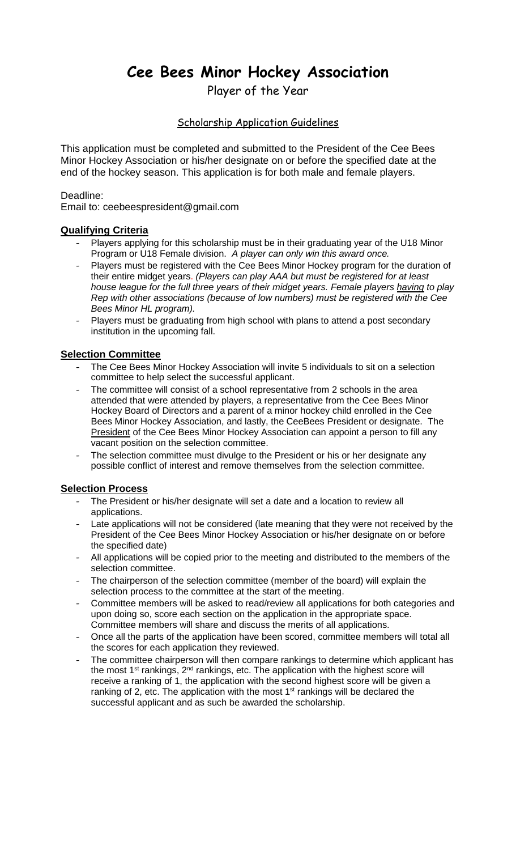# **Cee Bees Minor Hockey Association**

Player of the Year

# Scholarship Application Guidelines

This application must be completed and submitted to the President of the Cee Bees Minor Hockey Association or his/her designate on or before the specified date at the end of the hockey season. This application is for both male and female players.

## Deadline:

Email to: ceebeespresident@gmail.com

# **Qualifying Criteria**

- Players applying for this scholarship must be in their graduating year of the U18 Minor Program or U18 Female division. *A player can only win this award once.*
- Players must be registered with the Cee Bees Minor Hockey program for the duration of their entire midget years. *(Players can play AAA but must be registered for at least house league for the full three years of their midget years. Female players having to play Rep with other associations (because of low numbers) must be registered with the Cee Bees Minor HL program).*
- Players must be graduating from high school with plans to attend a post secondary institution in the upcoming fall.

## **Selection Committee**

- The Cee Bees Minor Hockey Association will invite 5 individuals to sit on a selection committee to help select the successful applicant.
- The committee will consist of a school representative from 2 schools in the area attended that were attended by players, a representative from the Cee Bees Minor Hockey Board of Directors and a parent of a minor hockey child enrolled in the Cee Bees Minor Hockey Association, and lastly, the CeeBees President or designate. The President of the Cee Bees Minor Hockey Association can appoint a person to fill any vacant position on the selection committee.
- The selection committee must divulge to the President or his or her designate any possible conflict of interest and remove themselves from the selection committee.

# **Selection Process**

- The President or his/her designate will set a date and a location to review all applications.
- Late applications will not be considered (late meaning that they were not received by the President of the Cee Bees Minor Hockey Association or his/her designate on or before the specified date)
- All applications will be copied prior to the meeting and distributed to the members of the selection committee.
- The chairperson of the selection committee (member of the board) will explain the selection process to the committee at the start of the meeting.
- Committee members will be asked to read/review all applications for both categories and upon doing so, score each section on the application in the appropriate space. Committee members will share and discuss the merits of all applications.
- Once all the parts of the application have been scored, committee members will total all the scores for each application they reviewed.
- The committee chairperson will then compare rankings to determine which applicant has the most 1<sup>st</sup> rankings, 2<sup>nd</sup> rankings, etc. The application with the highest score will receive a ranking of 1, the application with the second highest score will be given a ranking of 2, etc. The application with the most  $1<sup>st</sup>$  rankings will be declared the successful applicant and as such be awarded the scholarship.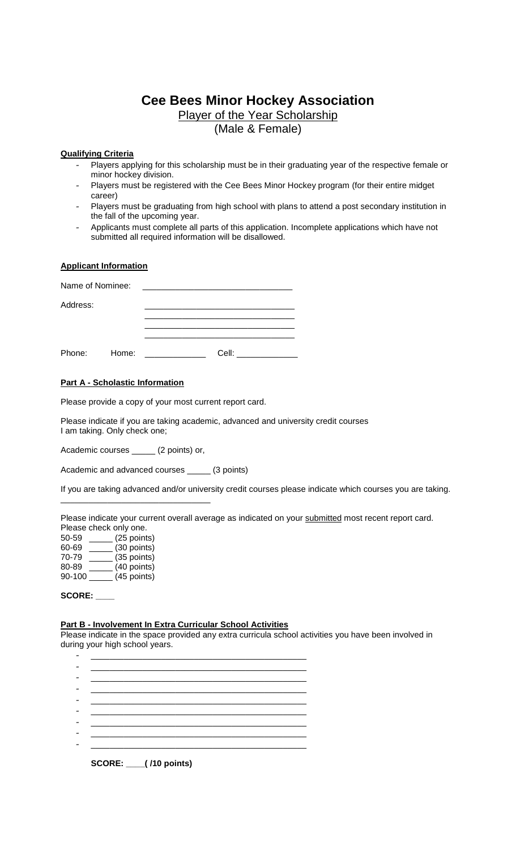# **Cee Bees Minor Hockey Association** Player of the Year Scholarship

(Male & Female)

### **Qualifying Criteria**

- Players applying for this scholarship must be in their graduating year of the respective female or minor hockey division.
- Players must be registered with the Cee Bees Minor Hockey program (for their entire midget career)
- Players must be graduating from high school with plans to attend a post secondary institution in the fall of the upcoming year.
- Applicants must complete all parts of this application. Incomplete applications which have not submitted all required information will be disallowed.

#### **Applicant Information**

| Name of Nominee: |       |       |
|------------------|-------|-------|
| Address:         |       |       |
|                  |       |       |
| Phone:           | Home: | Cell: |

#### **Part A - Scholastic Information**

Please provide a copy of your most current report card.

Please indicate if you are taking academic, advanced and university credit courses I am taking. Only check one;

Academic courses \_\_\_\_\_ (2 points) or,

\_\_\_\_\_\_\_\_\_\_\_\_\_\_\_\_\_\_\_\_\_\_\_\_\_\_\_\_\_\_\_\_

Academic and advanced courses \_\_\_\_\_ (3 points)

If you are taking advanced and/or university credit courses please indicate which courses you are taking.

Please indicate your current overall average as indicated on your submitted most recent report card. Please check only one.

| 50-59  | (25 points) |
|--------|-------------|
| 60-69  | (30 points) |
| 70-79  | (35 points) |
| 80-89  | (40 points) |
| 90-100 | (45 points) |
|        |             |

#### **SCORE: \_\_\_\_**

#### **Part B - Involvement In Extra Curricular School Activities**

Please indicate in the space provided any extra curricula school activities you have been involved in during your high school years.

|  | <b>SCORE:</b> ___(/10 points) |  |
|--|-------------------------------|--|